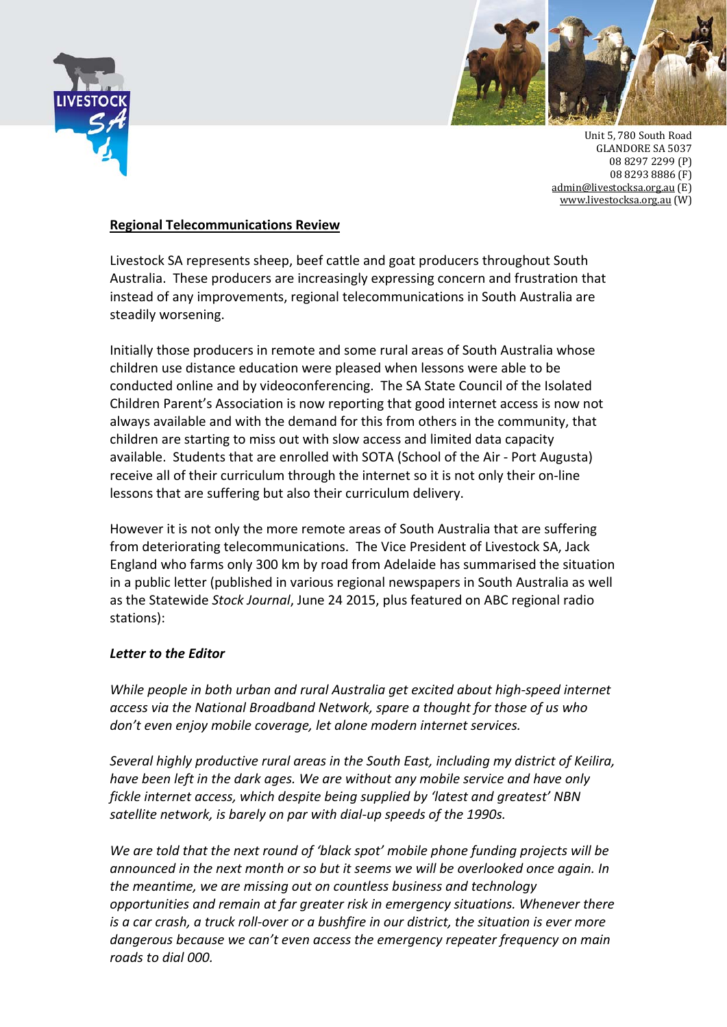



Unit 5, 780 South Road **GLANDORE SA 5037** 08 8297 2299 (P) 08 8293 8886 (F) admin@livestocksa.org.au (E) www.livestocksa.org.au (W)

## **Regional Telecommunications Review**

Livestock SA represents sheep, beef cattle and goat producers throughout South Australia. These producers are increasingly expressing concern and frustration that instead of any improvements, regional telecommunications in South Australia are steadily worsening.

Initially those producers in remote and some rural areas of South Australia whose children use distance education were pleased when lessons were able to be conducted online and by videoconferencing. The SA State Council of the Isolated Children Parent's Association is now reporting that good internet access is now not always available and with the demand for this from others in the community, that children are starting to miss out with slow access and limited data capacity available. Students that are enrolled with SOTA (School of the Air ‐ Port Augusta) receive all of their curriculum through the internet so it is not only their on‐line lessons that are suffering but also their curriculum delivery.

However it is not only the more remote areas of South Australia that are suffering from deteriorating telecommunications. The Vice President of Livestock SA, Jack England who farms only 300 km by road from Adelaide has summarised the situation in a public letter (published in various regional newspapers in South Australia as well as the Statewide *Stock Journal*, June 24 2015, plus featured on ABC regional radio stations):

## *Letter to the Editor*

*While people in both urban and rural Australia get excited about high‐speed internet access via the National Broadband Network, spare a thought for those of us who don't even enjoy mobile coverage, let alone modern internet services.*

*Several highly productive rural areas in the South East, including my district of Keilira, have been left in the dark ages. We are without any mobile service and have only fickle internet access, which despite being supplied by 'latest and greatest' NBN satellite network, is barely on par with dial‐up speeds of the 1990s.*

*We are told that the next round of 'black spot' mobile phone funding projects will be announced in the next month or so but it seems we will be overlooked once again. In the meantime, we are missing out on countless business and technology opportunities and remain at far greater risk in emergency situations. Whenever there* is a car crash, a truck roll-over or a bushfire in our district, the situation is ever more *dangerous because we can't even access the emergency repeater frequency on main roads to dial 000.*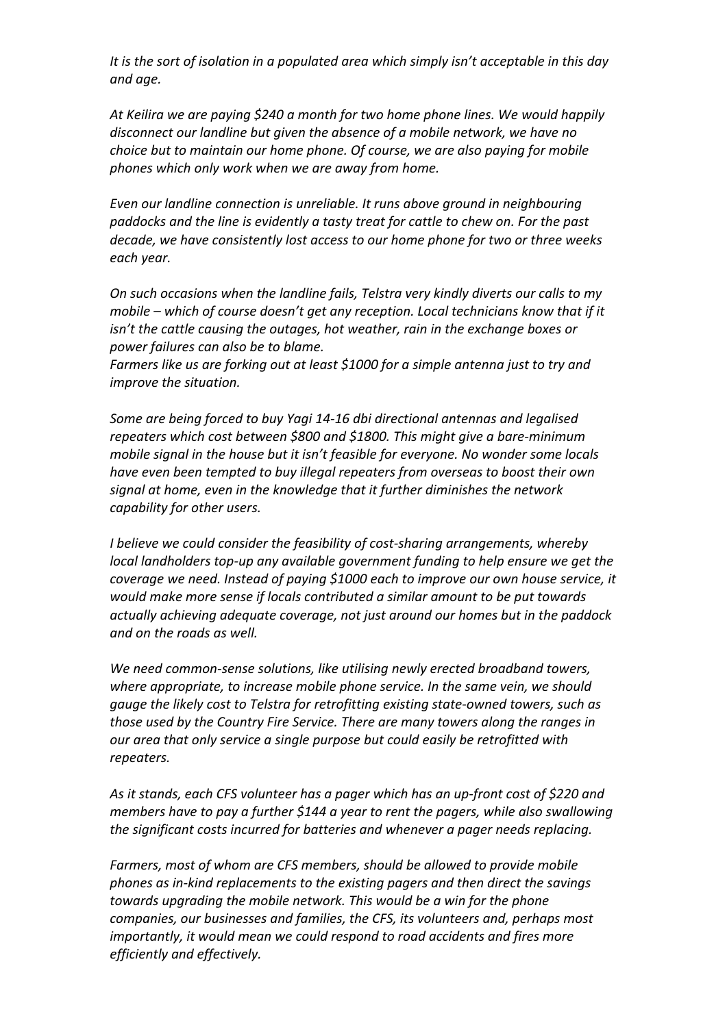*It is the sort of isolation in a populated area which simply isn't acceptable in this day and age.*

*At Keilira we are paying \$240 a month for two home phone lines. We would happily disconnect our landline but given the absence of a mobile network, we have no choice but to maintain our home phone. Of course, we are also paying for mobile phones which only work when we are away from home.* 

*Even our landline connection is unreliable. It runs above ground in neighbouring paddocks and the line is evidently a tasty treat for cattle to chew on. For the past decade, we have consistently lost access to our home phone for two or three weeks each year.* 

*On such occasions when the landline fails, Telstra very kindly diverts our calls to my mobile – which of course doesn't get any reception. Local technicians know that if it isn't the cattle causing the outages, hot weather, rain in the exchange boxes or power failures can also be to blame.*

*Farmers like us are forking out at least \$1000 for a simple antenna just to try and improve the situation.*

*Some are being forced to buy Yagi 14‐16 dbi directional antennas and legalised repeaters which cost between \$800 and \$1800. This might give a bare‐minimum mobile signal in the house but it isn't feasible for everyone. No wonder some locals have even been tempted to buy illegal repeaters from overseas to boost their own signal at home, even in the knowledge that it further diminishes the network capability for other users.*

*I believe we could consider the feasibility of cost‐sharing arrangements, whereby local landholders top‐up any available government funding to help ensure we get the coverage we need. Instead of paying \$1000 each to improve our own house service, it would make more sense if locals contributed a similar amount to be put towards actually achieving adequate coverage, not just around our homes but in the paddock and on the roads as well.*

*We need common‐sense solutions, like utilising newly erected broadband towers, where appropriate, to increase mobile phone service. In the same vein, we should gauge the likely cost to Telstra for retrofitting existing state‐owned towers, such as those used by the Country Fire Service. There are many towers along the ranges in our area that only service a single purpose but could easily be retrofitted with repeaters.* 

*As it stands, each CFS volunteer has a pager which has an up‐front cost of \$220 and members have to pay a further \$144 a year to rent the pagers, while also swallowing the significant costs incurred for batteries and whenever a pager needs replacing.*

*Farmers, most of whom are CFS members, should be allowed to provide mobile phones as in‐kind replacements to the existing pagers and then direct the savings towards upgrading the mobile network. This would be a win for the phone companies, our businesses and families, the CFS, its volunteers and, perhaps most importantly, it would mean we could respond to road accidents and fires more efficiently and effectively.*